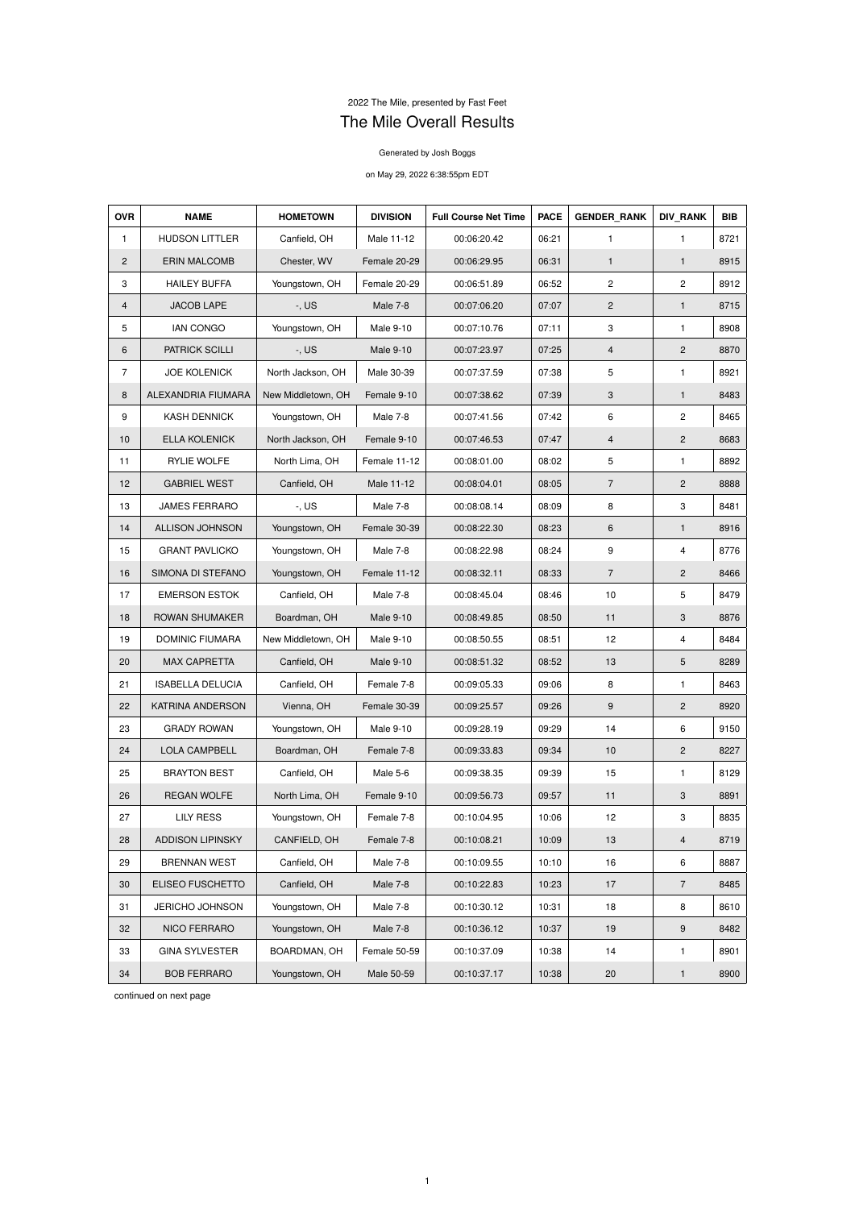## 2022 The Mile, presented by Fast Feet The Mile Overall Results

## Generated by Josh Boggs

## on May 29, 2022 6:38:55pm EDT

| <b>OVR</b>     | <b>NAME</b>             | <b>HOMETOWN</b>    | <b>DIVISION</b>  | <b>Full Course Net Time</b> | <b>PACE</b> | <b>GENDER RANK</b> | <b>DIV RANK</b>         | <b>BIB</b> |
|----------------|-------------------------|--------------------|------------------|-----------------------------|-------------|--------------------|-------------------------|------------|
| $\mathbf{1}$   | <b>HUDSON LITTLER</b>   | Canfield, OH       | Male 11-12       | 00:06:20.42                 | 06:21       | 1                  | $\mathbf{1}$            | 8721       |
| $\overline{2}$ | <b>ERIN MALCOMB</b>     | Chester, WV        | Female 20-29     | 00:06:29.95                 | 06:31       | $\mathbf{1}$       | $\mathbf{1}$            | 8915       |
| 3              | <b>HAILEY BUFFA</b>     | Youngstown, OH     | Female 20-29     | 00:06:51.89                 | 06:52       | 2                  | $\mathbf{2}$            | 8912       |
| $\overline{4}$ | <b>JACOB LAPE</b>       | $-$ , US           | Male 7-8         | 00:07:06.20                 | 07:07       | $\overline{2}$     | $\mathbf{1}$            | 8715       |
| 5              | <b>IAN CONGO</b>        | Youngstown, OH     | Male 9-10        | 00:07:10.76                 | 07:11       | 3                  | $\mathbf{1}$            | 8908       |
| 6              | <b>PATRICK SCILLI</b>   | $-$ , US           | <b>Male 9-10</b> | 00:07:23.97                 | 07:25       | $\overline{4}$     | $\overline{2}$          | 8870       |
| $\overline{7}$ | <b>JOE KOLENICK</b>     | North Jackson, OH  | Male 30-39       | 00:07:37.59                 | 07:38       | 5                  | $\mathbf{1}$            | 8921       |
| 8              | ALEXANDRIA FIUMARA      | New Middletown, OH | Female 9-10      | 00:07:38.62                 | 07:39       | 3                  | 1                       | 8483       |
| 9              | <b>KASH DENNICK</b>     | Youngstown, OH     | Male 7-8         | 00:07:41.56                 | 07:42       | 6                  | $\overline{\mathbf{c}}$ | 8465       |
| 10             | <b>ELLA KOLENICK</b>    | North Jackson, OH  | Female 9-10      | 00:07:46.53                 | 07:47       | 4                  | $\overline{2}$          | 8683       |
| 11             | RYLIE WOLFE             | North Lima, OH     | Female 11-12     | 00:08:01.00                 | 08:02       | 5                  | 1                       | 8892       |
| 12             | <b>GABRIEL WEST</b>     | Canfield, OH       | Male 11-12       | 00:08:04.01                 | 08:05       | $\overline{7}$     | $\overline{2}$          | 8888       |
| 13             | <b>JAMES FERRARO</b>    | $-$ , US           | Male 7-8         | 00:08:08.14                 | 08:09       | 8                  | 3                       | 8481       |
| 14             | ALLISON JOHNSON         | Youngstown, OH     | Female 30-39     | 00:08:22.30                 | 08:23       | 6                  | $\mathbf{1}$            | 8916       |
| 15             | <b>GRANT PAVLICKO</b>   | Youngstown, OH     | Male 7-8         | 00:08:22.98                 | 08:24       | 9                  | $\overline{4}$          | 8776       |
| 16             | SIMONA DI STEFANO       | Youngstown, OH     | Female 11-12     | 00:08:32.11                 | 08:33       | $\overline{7}$     | $\overline{2}$          | 8466       |
| 17             | <b>EMERSON ESTOK</b>    | Canfield, OH       | Male 7-8         | 00:08:45.04                 | 08:46       | 10                 | 5                       | 8479       |
| 18             | ROWAN SHUMAKER          | Boardman, OH       | <b>Male 9-10</b> | 00:08:49.85                 | 08:50       | 11                 | $\mathbf{3}$            | 8876       |
| 19             | <b>DOMINIC FIUMARA</b>  | New Middletown, OH | <b>Male 9-10</b> | 00:08:50.55                 | 08:51       | 12                 | 4                       | 8484       |
| 20             | <b>MAX CAPRETTA</b>     | Canfield, OH       | Male 9-10        | 00:08:51.32                 | 08:52       | 13                 | 5                       | 8289       |
| 21             | <b>ISABELLA DELUCIA</b> | Canfield, OH       | Female 7-8       | 00:09:05.33                 | 09:06       | 8                  | $\mathbf{1}$            | 8463       |
| 22             | KATRINA ANDERSON        | Vienna, OH         | Female 30-39     | 00:09:25.57                 | 09:26       | 9                  | $\overline{c}$          | 8920       |
| 23             | <b>GRADY ROWAN</b>      | Youngstown, OH     | Male 9-10        | 00:09:28.19                 | 09:29       | 14                 | 6                       | 9150       |
| 24             | LOLA CAMPBELL           | Boardman, OH       | Female 7-8       | 00:09:33.83                 | 09:34       | 10                 | $\mathbf{2}$            | 8227       |
| 25             | <b>BRAYTON BEST</b>     | Canfield, OH       | Male 5-6         | 00:09:38.35                 | 09:39       | 15                 | $\mathbf{1}$            | 8129       |
| 26             | <b>REGAN WOLFE</b>      | North Lima, OH     | Female 9-10      | 00:09:56.73                 | 09:57       | 11                 | $\mathbf{3}$            | 8891       |
| 27             | <b>LILY RESS</b>        | Youngstown, OH     | Female 7-8       | 00:10:04.95                 | 10:06       | 12                 | 3                       | 8835       |
| 28             | <b>ADDISON LIPINSKY</b> | CANFIELD, OH       | Female 7-8       | 00:10:08.21                 | 10:09       | 13                 | $\overline{4}$          | 8719       |
| 29             | <b>BRENNAN WEST</b>     | Canfield, OH       | Male 7-8         | 00:10:09.55                 | 10:10       | 16                 | 6                       | 8887       |
| 30             | ELISEO FUSCHETTO        | Canfield, OH       | Male 7-8         | 00:10:22.83                 | 10:23       | 17                 | $\overline{7}$          | 8485       |
| 31             | JERICHO JOHNSON         | Youngstown, OH     | Male 7-8         | 00:10:30.12                 | 10:31       | 18                 | 8                       | 8610       |
| 32             | NICO FERRARO            | Youngstown, OH     | Male 7-8         | 00:10:36.12                 | 10:37       | 19                 | 9                       | 8482       |
| 33             | <b>GINA SYLVESTER</b>   | BOARDMAN, OH       | Female 50-59     | 00:10:37.09                 | 10:38       | 14                 | 1                       | 8901       |
| 34             | <b>BOB FERRARO</b>      | Youngstown, OH     | Male 50-59       | 00:10:37.17                 | 10:38       | 20                 | $\mathbf{1}$            | 8900       |

continued on next page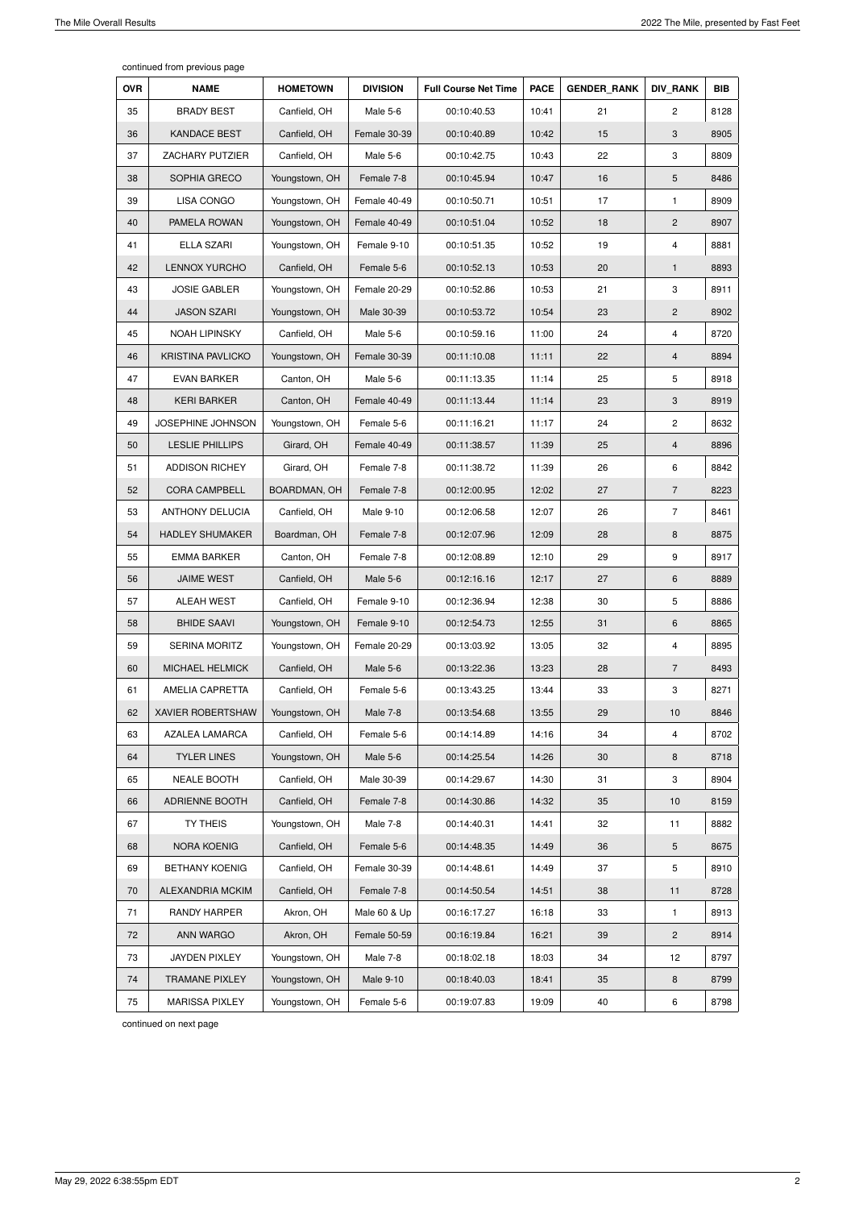continued from previous page

| <b>OVR</b> | <b>NAME</b>              | <b>HOMETOWN</b> | <b>DIVISION</b>  | <b>Full Course Net Time</b> | <b>PACE</b> | <b>GENDER_RANK</b> | <b>DIV RANK</b> | <b>BIB</b> |
|------------|--------------------------|-----------------|------------------|-----------------------------|-------------|--------------------|-----------------|------------|
| 35         | <b>BRADY BEST</b>        | Canfield, OH    | Male 5-6         | 00:10:40.53                 | 10:41       | 21                 | $\overline{c}$  | 8128       |
| 36         | <b>KANDACE BEST</b>      | Canfield, OH    | Female 30-39     | 00:10:40.89                 | 10:42       | 15                 | 3               | 8905       |
| 37         | ZACHARY PUTZIER          | Canfield, OH    | Male 5-6         | 00:10:42.75                 | 10:43       | 22                 | 3               | 8809       |
| 38         | SOPHIA GRECO             | Youngstown, OH  | Female 7-8       | 00:10:45.94                 | 10:47       | 16                 | 5               | 8486       |
| 39         | <b>LISA CONGO</b>        | Youngstown, OH  | Female 40-49     | 00:10:50.71                 | 10:51       | 17                 | 1               | 8909       |
| 40         | PAMELA ROWAN             | Youngstown, OH  | Female 40-49     | 00:10:51.04                 | 10:52       | 18                 | $\mathbf{2}$    | 8907       |
| 41         | <b>ELLA SZARI</b>        | Youngstown, OH  | Female 9-10      | 00:10:51.35                 | 10:52       | 19                 | 4               | 8881       |
| 42         | <b>LENNOX YURCHO</b>     | Canfield, OH    | Female 5-6       | 00:10:52.13                 | 10:53       | 20                 | 1               | 8893       |
| 43         | <b>JOSIE GABLER</b>      | Youngstown, OH  | Female 20-29     | 00:10:52.86                 | 10:53       | 21                 | 3               | 8911       |
| 44         | <b>JASON SZARI</b>       | Youngstown, OH  | Male 30-39       | 00:10:53.72                 | 10:54       | 23                 | $\mathbf{2}$    | 8902       |
| 45         | <b>NOAH LIPINSKY</b>     | Canfield, OH    | Male 5-6         | 00:10:59.16                 | 11:00       | 24                 | 4               | 8720       |
| 46         | <b>KRISTINA PAVLICKO</b> | Youngstown, OH  | Female 30-39     | 00:11:10.08                 | 11:11       | 22                 | $\overline{4}$  | 8894       |
| 47         | <b>EVAN BARKER</b>       | Canton, OH      | Male 5-6         | 00:11:13.35                 | 11:14       | 25                 | 5               | 8918       |
| 48         | <b>KERI BARKER</b>       | Canton, OH      | Female 40-49     | 00:11:13.44                 | 11:14       | 23                 | 3               | 8919       |
| 49         | JOSEPHINE JOHNSON        | Youngstown, OH  | Female 5-6       | 00:11:16.21                 | 11:17       | 24                 | $\overline{c}$  | 8632       |
| 50         | <b>LESLIE PHILLIPS</b>   | Girard, OH      | Female 40-49     | 00:11:38.57                 | 11:39       | 25                 | 4               | 8896       |
| 51         | <b>ADDISON RICHEY</b>    | Girard, OH      | Female 7-8       | 00:11:38.72                 | 11:39       | 26                 | 6               | 8842       |
| 52         | <b>CORA CAMPBELL</b>     | BOARDMAN, OH    | Female 7-8       | 00:12:00.95                 | 12:02       | 27                 | $\overline{7}$  | 8223       |
| 53         | <b>ANTHONY DELUCIA</b>   | Canfield, OH    | Male 9-10        | 00:12:06.58                 | 12:07       | 26                 | $\overline{7}$  | 8461       |
| 54         | <b>HADLEY SHUMAKER</b>   | Boardman, OH    | Female 7-8       | 00:12:07.96                 | 12:09       | 28                 | 8               | 8875       |
| 55         | <b>EMMA BARKER</b>       | Canton, OH      | Female 7-8       | 00:12:08.89                 | 12:10       | 29                 | 9               | 8917       |
| 56         | <b>JAIME WEST</b>        | Canfield, OH    | Male 5-6         | 00:12:16.16                 | 12:17       | 27                 | 6               | 8889       |
| 57         | ALEAH WEST               | Canfield, OH    | Female 9-10      | 00:12:36.94                 | 12:38       | 30                 | 5               | 8886       |
| 58         | <b>BHIDE SAAVI</b>       | Youngstown, OH  | Female 9-10      | 00:12:54.73                 | 12:55       | 31                 | 6               | 8865       |
| 59         | <b>SERINA MORITZ</b>     | Youngstown, OH  | Female 20-29     | 00:13:03.92                 | 13:05       | 32                 | $\overline{4}$  | 8895       |
| 60         | <b>MICHAEL HELMICK</b>   | Canfield, OH    | Male 5-6         | 00:13:22.36                 | 13:23       | 28                 | $\overline{7}$  | 8493       |
| 61         | AMELIA CAPRETTA          | Canfield, OH    | Female 5-6       | 00:13:43.25                 | 13:44       | 33                 | 3               | 8271       |
| 62         | XAVIER ROBERTSHAW        | Youngstown, OH  | Male 7-8         | 00:13:54.68                 | 13:55       | 29                 | 10              | 8846       |
| 63         | <b>AZALEA LAMARCA</b>    | Canfield, OH    | Female 5-6       | 00:14:14.89                 | 14:16       | 34                 | 4               | 8702       |
| 64         | <b>TYLER LINES</b>       | Youngstown, OH  | Male 5-6         | 00:14:25.54                 | 14:26       | 30                 | 8               | 8718       |
| 65         | <b>NEALE BOOTH</b>       | Canfield, OH    | Male 30-39       | 00:14:29.67                 | 14:30       | 31                 | 3               | 8904       |
| 66         | <b>ADRIENNE BOOTH</b>    | Canfield, OH    | Female 7-8       | 00:14:30.86                 | 14:32       | 35                 | 10              | 8159       |
| 67         | TY THEIS                 | Youngstown, OH  | Male 7-8         | 00:14:40.31                 | 14:41       | 32                 | 11              | 8882       |
| 68         | <b>NORA KOENIG</b>       | Canfield, OH    | Female 5-6       | 00:14:48.35                 | 14:49       | 36                 | 5               | 8675       |
| 69         | <b>BETHANY KOENIG</b>    | Canfield, OH    | Female 30-39     | 00:14:48.61                 | 14:49       | 37                 | 5               | 8910       |
| 70         | ALEXANDRIA MCKIM         | Canfield, OH    | Female 7-8       | 00:14:50.54                 | 14:51       | 38                 | 11              | 8728       |
| 71         | <b>RANDY HARPER</b>      | Akron, OH       | Male 60 & Up     | 00:16:17.27                 | 16:18       | 33                 | 1               | 8913       |
| 72         | <b>ANN WARGO</b>         | Akron, OH       | Female 50-59     | 00:16:19.84                 | 16:21       | 39                 | $\overline{c}$  | 8914       |
| 73         | JAYDEN PIXLEY            | Youngstown, OH  | Male 7-8         | 00:18:02.18                 | 18:03       | 34                 | 12              | 8797       |
| 74         | <b>TRAMANE PIXLEY</b>    | Youngstown, OH  | <b>Male 9-10</b> | 00:18:40.03                 | 18:41       | 35                 | 8               | 8799       |
| 75         | <b>MARISSA PIXLEY</b>    | Youngstown, OH  | Female 5-6       | 00:19:07.83                 | 19:09       | 40                 | 6               | 8798       |

continued on next page